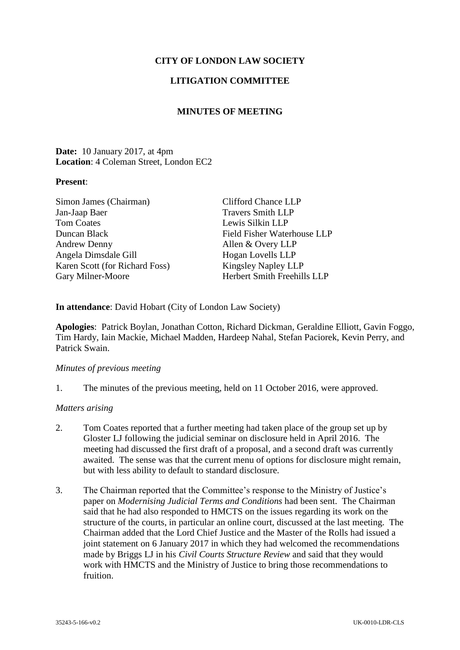# **CITY OF LONDON LAW SOCIETY**

## **LITIGATION COMMITTEE**

## **MINUTES OF MEETING**

### **Date:** 10 January 2017, at 4pm **Location**: 4 Coleman Street, London EC2

#### **Present**:

| Simon James (Chairman)         | <b>Clifford Chance LLP</b>  |
|--------------------------------|-----------------------------|
| Jan-Jaap Baer                  | <b>Travers Smith LLP</b>    |
| <b>Tom Coates</b>              | Lewis Silkin LLP            |
| Duncan Black                   | Field Fisher Waterhouse LLP |
| <b>Andrew Denny</b>            | Allen & Overy LLP           |
| Angela Dimsdale Gill           | Hogan Lovells LLP           |
| Karen Scott (for Richard Foss) | <b>Kingsley Napley LLP</b>  |
| Gary Milner-Moore              | Herbert Smith Freehills LLP |

**In attendance**: David Hobart (City of London Law Society)

**Apologies**: Patrick Boylan, Jonathan Cotton, Richard Dickman, Geraldine Elliott, Gavin Foggo, Tim Hardy, Iain Mackie, Michael Madden, Hardeep Nahal, Stefan Paciorek, Kevin Perry, and Patrick Swain.

#### *Minutes of previous meeting*

1. The minutes of the previous meeting, held on 11 October 2016, were approved.

### *Matters arising*

- 2. Tom Coates reported that a further meeting had taken place of the group set up by Gloster LJ following the judicial seminar on disclosure held in April 2016. The meeting had discussed the first draft of a proposal, and a second draft was currently awaited. The sense was that the current menu of options for disclosure might remain, but with less ability to default to standard disclosure.
- 3. The Chairman reported that the Committee's response to the Ministry of Justice's paper on *Modernising Judicial Terms and Conditions* had been sent. The Chairman said that he had also responded to HMCTS on the issues regarding its work on the structure of the courts, in particular an online court, discussed at the last meeting. The Chairman added that the Lord Chief Justice and the Master of the Rolls had issued a joint statement on 6 January 2017 in which they had welcomed the recommendations made by Briggs LJ in his *Civil Courts Structure Review* and said that they would work with HMCTS and the Ministry of Justice to bring those recommendations to fruition.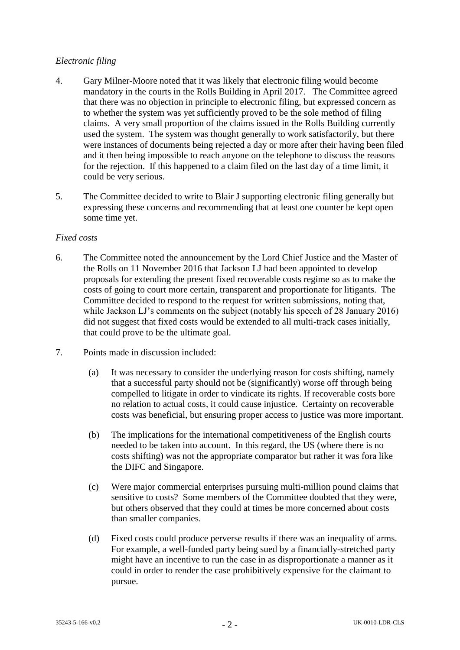# *Electronic filing*

- 4. Gary Milner-Moore noted that it was likely that electronic filing would become mandatory in the courts in the Rolls Building in April 2017. The Committee agreed that there was no objection in principle to electronic filing, but expressed concern as to whether the system was yet sufficiently proved to be the sole method of filing claims. A very small proportion of the claims issued in the Rolls Building currently used the system. The system was thought generally to work satisfactorily, but there were instances of documents being rejected a day or more after their having been filed and it then being impossible to reach anyone on the telephone to discuss the reasons for the rejection. If this happened to a claim filed on the last day of a time limit, it could be very serious.
- 5. The Committee decided to write to Blair J supporting electronic filing generally but expressing these concerns and recommending that at least one counter be kept open some time yet.

## *Fixed costs*

- 6. The Committee noted the announcement by the Lord Chief Justice and the Master of the Rolls on 11 November 2016 that Jackson LJ had been appointed to develop proposals for extending the present fixed recoverable costs regime so as to make the costs of going to court more certain, transparent and proportionate for litigants. The Committee decided to respond to the request for written submissions, noting that, while Jackson LJ's comments on the subject (notably his speech of 28 January 2016) did not suggest that fixed costs would be extended to all multi-track cases initially, that could prove to be the ultimate goal.
- 7. Points made in discussion included:
	- (a) It was necessary to consider the underlying reason for costs shifting, namely that a successful party should not be (significantly) worse off through being compelled to litigate in order to vindicate its rights. If recoverable costs bore no relation to actual costs, it could cause injustice. Certainty on recoverable costs was beneficial, but ensuring proper access to justice was more important.
	- (b) The implications for the international competitiveness of the English courts needed to be taken into account. In this regard, the US (where there is no costs shifting) was not the appropriate comparator but rather it was fora like the DIFC and Singapore.
	- (c) Were major commercial enterprises pursuing multi-million pound claims that sensitive to costs? Some members of the Committee doubted that they were, but others observed that they could at times be more concerned about costs than smaller companies.
	- (d) Fixed costs could produce perverse results if there was an inequality of arms. For example, a well-funded party being sued by a financially-stretched party might have an incentive to run the case in as disproportionate a manner as it could in order to render the case prohibitively expensive for the claimant to pursue.